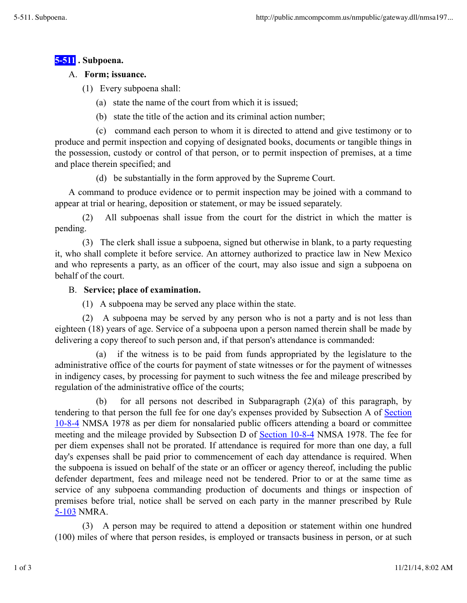# **5-511 . Subpoena.**

### A. **Form; issuance.**

(1) Every subpoena shall:

- (a) state the name of the court from which it is issued;
- (b) state the title of the action and its criminal action number;

(c) command each person to whom it is directed to attend and give testimony or to produce and permit inspection and copying of designated books, documents or tangible things in the possession, custody or control of that person, or to permit inspection of premises, at a time and place therein specified; and

(d) be substantially in the form approved by the Supreme Court.

A command to produce evidence or to permit inspection may be joined with a command to appear at trial or hearing, deposition or statement, or may be issued separately.

(2) All subpoenas shall issue from the court for the district in which the matter is pending.

(3) The clerk shall issue a subpoena, signed but otherwise in blank, to a party requesting it, who shall complete it before service. An attorney authorized to practice law in New Mexico and who represents a party, as an officer of the court, may also issue and sign a subpoena on behalf of the court.

# B. **Service; place of examination.**

(1) A subpoena may be served any place within the state.

(2) A subpoena may be served by any person who is not a party and is not less than eighteen (18) years of age. Service of a subpoena upon a person named therein shall be made by delivering a copy thereof to such person and, if that person's attendance is commanded:

(a) if the witness is to be paid from funds appropriated by the legislature to the administrative office of the courts for payment of state witnesses or for the payment of witnesses in indigency cases, by processing for payment to such witness the fee and mileage prescribed by regulation of the administrative office of the courts;

(b) for all persons not described in Subparagraph (2)(a) of this paragraph, by tendering to that person the full fee for one day's expenses provided by Subsection A of Section 10-8-4 NMSA 1978 as per diem for nonsalaried public officers attending a board or committee meeting and the mileage provided by Subsection D of Section 10-8-4 NMSA 1978. The fee for per diem expenses shall not be prorated. If attendance is required for more than one day, a full day's expenses shall be paid prior to commencement of each day attendance is required. When the subpoena is issued on behalf of the state or an officer or agency thereof, including the public defender department, fees and mileage need not be tendered. Prior to or at the same time as service of any subpoena commanding production of documents and things or inspection of premises before trial, notice shall be served on each party in the manner prescribed by Rule 5-103 NMRA.

(3) A person may be required to attend a deposition or statement within one hundred (100) miles of where that person resides, is employed or transacts business in person, or at such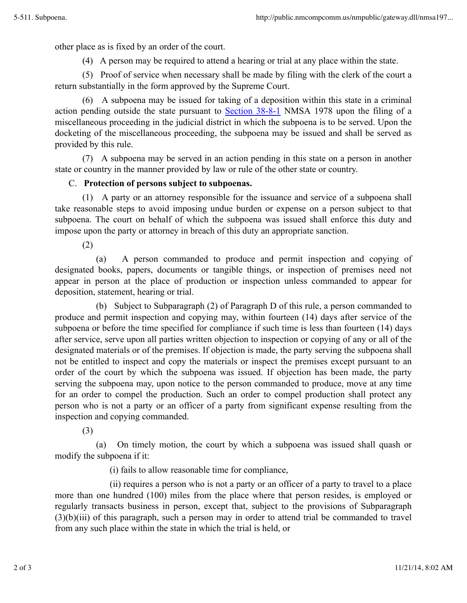other place as is fixed by an order of the court.

(4) A person may be required to attend a hearing or trial at any place within the state.

(5) Proof of service when necessary shall be made by filing with the clerk of the court a return substantially in the form approved by the Supreme Court.

(6) A subpoena may be issued for taking of a deposition within this state in a criminal action pending outside the state pursuant to Section 38-8-1 NMSA 1978 upon the filing of a miscellaneous proceeding in the judicial district in which the subpoena is to be served. Upon the docketing of the miscellaneous proceeding, the subpoena may be issued and shall be served as provided by this rule.

(7) A subpoena may be served in an action pending in this state on a person in another state or country in the manner provided by law or rule of the other state or country.

### C. **Protection of persons subject to subpoenas.**

(1) A party or an attorney responsible for the issuance and service of a subpoena shall take reasonable steps to avoid imposing undue burden or expense on a person subject to that subpoena. The court on behalf of which the subpoena was issued shall enforce this duty and impose upon the party or attorney in breach of this duty an appropriate sanction.

(2)

(a) A person commanded to produce and permit inspection and copying of designated books, papers, documents or tangible things, or inspection of premises need not appear in person at the place of production or inspection unless commanded to appear for deposition, statement, hearing or trial.

(b) Subject to Subparagraph (2) of Paragraph D of this rule, a person commanded to produce and permit inspection and copying may, within fourteen (14) days after service of the subpoena or before the time specified for compliance if such time is less than fourteen (14) days after service, serve upon all parties written objection to inspection or copying of any or all of the designated materials or of the premises. If objection is made, the party serving the subpoena shall not be entitled to inspect and copy the materials or inspect the premises except pursuant to an order of the court by which the subpoena was issued. If objection has been made, the party serving the subpoena may, upon notice to the person commanded to produce, move at any time for an order to compel the production. Such an order to compel production shall protect any person who is not a party or an officer of a party from significant expense resulting from the inspection and copying commanded.

(3)

(a) On timely motion, the court by which a subpoena was issued shall quash or modify the subpoena if it:

(i) fails to allow reasonable time for compliance,

(ii) requires a person who is not a party or an officer of a party to travel to a place more than one hundred (100) miles from the place where that person resides, is employed or regularly transacts business in person, except that, subject to the provisions of Subparagraph (3)(b)(iii) of this paragraph, such a person may in order to attend trial be commanded to travel from any such place within the state in which the trial is held, or